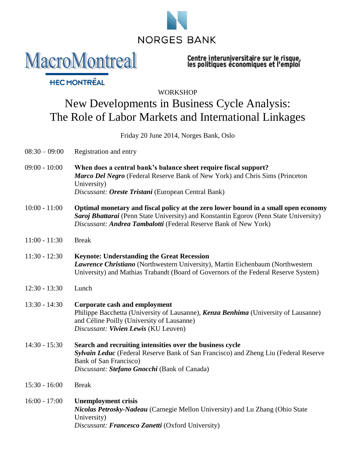

Centre interuniversitaire sur le risque,<br>les politiques économiques et l'emploi

## **WORKSHOP** New Developments in Business Cycle Analysis: The Role of Labor Markets and International Linkages

Friday 20 June 2014, Norges Bank, Oslo

08:30 – 09:00 Registration and entry

**MacroMontreal** 

**HEC MONTREAL** 

- 09:00 10:00 **When does a central bank's balance sheet require fiscal support?** *Marco Del Negro* (Federal Reserve Bank of New York) and Chris Sims (Princeton University) *Discussant: Oreste Tristani* (European Central Bank)
- 10:00 11:00 **Optimal monetary and fiscal policy at the zero lower bound in a small open economy** *Saroj Bhattarai* (Penn State University) and Konstantin Egorov (Penn State University) *Discussant: Andrea Tambalotti* (Federal Reserve Bank of New York)
- 11:00 11:30 Break

11:30 - 12:30 **Keynote: Understanding the Great Recession** *Lawrence Christiano* (Northwestern University), Martin Eichenbaum (Northwestern University) and Mathias Trabandt (Board of Governors of the Federal Reserve System)

- 12:30 13:30 Lunch
- 13:30 14:30 **Corporate cash and employment** Philippe Bacchetta (University of Lausanne), *Kenza Benhima* (University of Lausanne) and Céline Poilly (University of Lausanne) *Discussant: Vivien Lewis* (KU Leuven)
- 14:30 15:30 **Search and recruiting intensities over the business cycle** *Sylvain Leduc* (Federal Reserve Bank of San Francisco) and Zheng Liu (Federal Reserve Bank of San Francisco) *Discussant: Stefano Gnocchi* (Bank of Canada)
- 15:30 16:00 Break
- 16:00 17:00 **Unemployment crisis** *Nicolas Petrosky-Nadeau* (Carnegie Mellon University) and Lu Zhang (Ohio State University) *Discussant: Francesco Zanetti* (Oxford University)